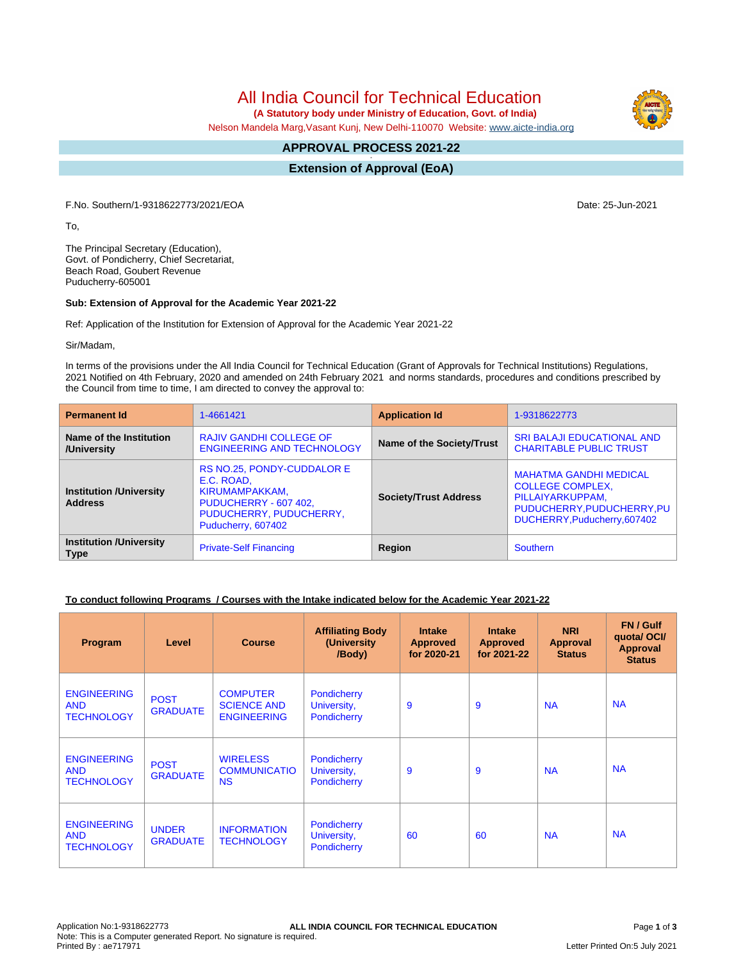All India Council for Technical Education

 **(A Statutory body under Ministry of Education, Govt. of India)**

Nelson Mandela Marg,Vasant Kunj, New Delhi-110070 Website: [www.aicte-india.org](http://www.aicte-india.org)

## **APPROVAL PROCESS 2021-22 -**

**Extension of Approval (EoA)**

F.No. Southern/1-9318622773/2021/EOA Date: 25-Jun-2021

To,

The Principal Secretary (Education), Govt. of Pondicherry, Chief Secretariat, Beach Road, Goubert Revenue Puducherry-605001

## **Sub: Extension of Approval for the Academic Year 2021-22**

Ref: Application of the Institution for Extension of Approval for the Academic Year 2021-22

Sir/Madam,

In terms of the provisions under the All India Council for Technical Education (Grant of Approvals for Technical Institutions) Regulations, 2021 Notified on 4th February, 2020 and amended on 24th February 2021 and norms standards, procedures and conditions prescribed by the Council from time to time, I am directed to convey the approval to:

| <b>Permanent Id</b>                              | 1-4661421                                                                                                                            | <b>Application Id</b>        | 1-9318622773                                                                                                                               |  |
|--------------------------------------------------|--------------------------------------------------------------------------------------------------------------------------------------|------------------------------|--------------------------------------------------------------------------------------------------------------------------------------------|--|
| Name of the Institution<br>/University           | <b>RAJIV GANDHI COLLEGE OF</b><br><b>ENGINEERING AND TECHNOLOGY</b>                                                                  | Name of the Society/Trust    | <b>SRI BALAJI EDUCATIONAL AND</b><br><b>CHARITABLE PUBLIC TRUST</b>                                                                        |  |
| <b>Institution /University</b><br><b>Address</b> | RS NO.25, PONDY-CUDDALOR E<br>E.C. ROAD,<br>KIRUMAMPAKKAM,<br>PUDUCHERRY - 607 402,<br>PUDUCHERRY, PUDUCHERRY,<br>Puducherry, 607402 | <b>Society/Trust Address</b> | <b>MAHATMA GANDHI MEDICAL</b><br><b>COLLEGE COMPLEX,</b><br>PILLAIYARKUPPAM,<br>PUDUCHERRY, PUDUCHERRY, PU<br>DUCHERRY, Puducherry, 607402 |  |
| <b>Institution /University</b><br><b>Type</b>    | <b>Private-Self Financing</b>                                                                                                        | Region                       | Southern                                                                                                                                   |  |

## **To conduct following Programs / Courses with the Intake indicated below for the Academic Year 2021-22**

| Program                                               | Level                           | <b>Course</b>                                               | <b>Affiliating Body</b><br>(University<br>/Body) | <b>Intake</b><br><b>Approved</b><br>for 2020-21 | <b>Intake</b><br><b>Approved</b><br>for 2021-22 | <b>NRI</b><br>Approval<br><b>Status</b> | FN / Gulf<br>quota/OCI/<br><b>Approval</b><br><b>Status</b> |
|-------------------------------------------------------|---------------------------------|-------------------------------------------------------------|--------------------------------------------------|-------------------------------------------------|-------------------------------------------------|-----------------------------------------|-------------------------------------------------------------|
| <b>ENGINEERING</b><br><b>AND</b><br><b>TECHNOLOGY</b> | <b>POST</b><br><b>GRADUATE</b>  | <b>COMPUTER</b><br><b>SCIENCE AND</b><br><b>ENGINEERING</b> | Pondicherry<br>University,<br>Pondicherry        | 9                                               | 9                                               | <b>NA</b>                               | <b>NA</b>                                                   |
| <b>ENGINEERING</b><br><b>AND</b><br><b>TECHNOLOGY</b> | <b>POST</b><br><b>GRADUATE</b>  | <b>WIRELESS</b><br><b>COMMUNICATIO</b><br><b>NS</b>         | Pondicherry<br>University,<br>Pondicherry        | 9                                               | 9                                               | <b>NA</b>                               | <b>NA</b>                                                   |
| <b>ENGINEERING</b><br><b>AND</b><br><b>TECHNOLOGY</b> | <b>UNDER</b><br><b>GRADUATE</b> | <b>INFORMATION</b><br><b>TECHNOLOGY</b>                     | Pondicherry<br>University,<br>Pondicherry        | 60                                              | 60                                              | <b>NA</b>                               | <b>NA</b>                                                   |

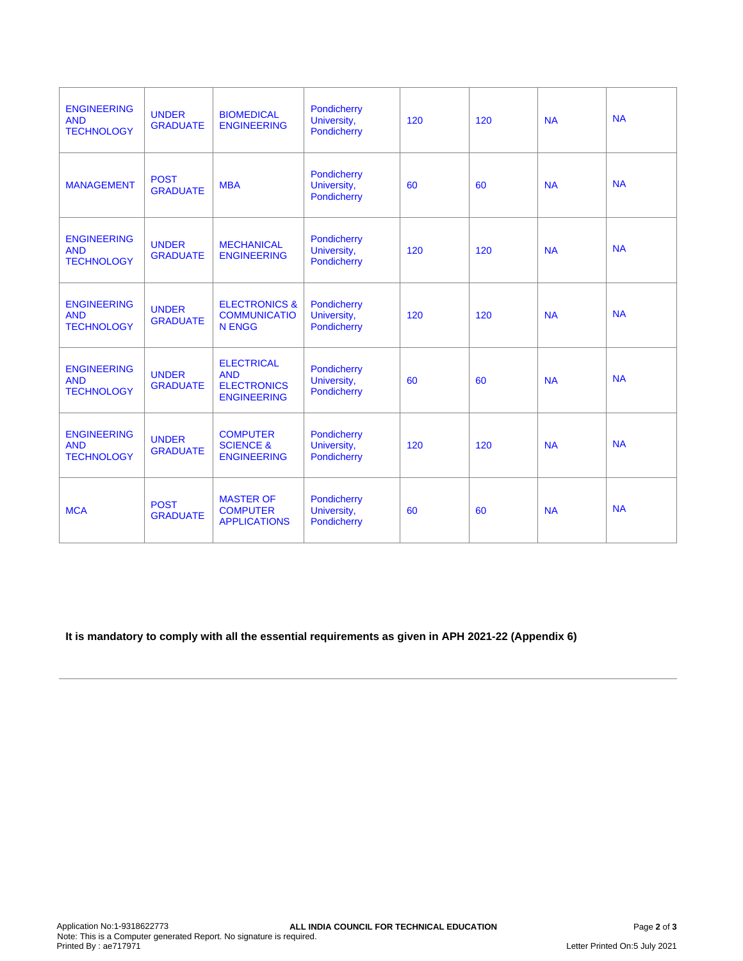| <b>ENGINEERING</b><br><b>AND</b><br><b>TECHNOLOGY</b> | <b>UNDER</b><br><b>GRADUATE</b> | <b>BIOMEDICAL</b><br><b>ENGINEERING</b>                                     | Pondicherry<br>University,<br>Pondicherry | 120 | 120 | <b>NA</b> | <b>NA</b> |
|-------------------------------------------------------|---------------------------------|-----------------------------------------------------------------------------|-------------------------------------------|-----|-----|-----------|-----------|
| <b>MANAGEMENT</b>                                     | <b>POST</b><br><b>GRADUATE</b>  | <b>MBA</b>                                                                  | Pondicherry<br>University,<br>Pondicherry | 60  | 60  | <b>NA</b> | <b>NA</b> |
| <b>ENGINEERING</b><br><b>AND</b><br><b>TECHNOLOGY</b> | <b>UNDER</b><br><b>GRADUATE</b> | <b>MECHANICAL</b><br><b>ENGINEERING</b>                                     | Pondicherry<br>University,<br>Pondicherry | 120 | 120 | <b>NA</b> | <b>NA</b> |
| <b>ENGINEERING</b><br><b>AND</b><br><b>TECHNOLOGY</b> | <b>UNDER</b><br><b>GRADUATE</b> | <b>ELECTRONICS &amp;</b><br><b>COMMUNICATIO</b><br><b>N ENGG</b>            | Pondicherry<br>University,<br>Pondicherry | 120 | 120 | <b>NA</b> | <b>NA</b> |
| <b>ENGINEERING</b><br><b>AND</b><br><b>TECHNOLOGY</b> | <b>UNDER</b><br><b>GRADUATE</b> | <b>ELECTRICAL</b><br><b>AND</b><br><b>ELECTRONICS</b><br><b>ENGINEERING</b> | Pondicherry<br>University,<br>Pondicherry | 60  | 60  | <b>NA</b> | <b>NA</b> |
| <b>ENGINEERING</b><br><b>AND</b><br><b>TECHNOLOGY</b> | <b>UNDER</b><br><b>GRADUATE</b> | <b>COMPUTER</b><br><b>SCIENCE &amp;</b><br><b>ENGINEERING</b>               | Pondicherry<br>University,<br>Pondicherry | 120 | 120 | <b>NA</b> | <b>NA</b> |
| <b>MCA</b>                                            | <b>POST</b><br><b>GRADUATE</b>  | <b>MASTER OF</b><br><b>COMPUTER</b><br><b>APPLICATIONS</b>                  | Pondicherry<br>University,<br>Pondicherry | 60  | 60  | <b>NA</b> | <b>NA</b> |

**It is mandatory to comply with all the essential requirements as given in APH 2021-22 (Appendix 6)**